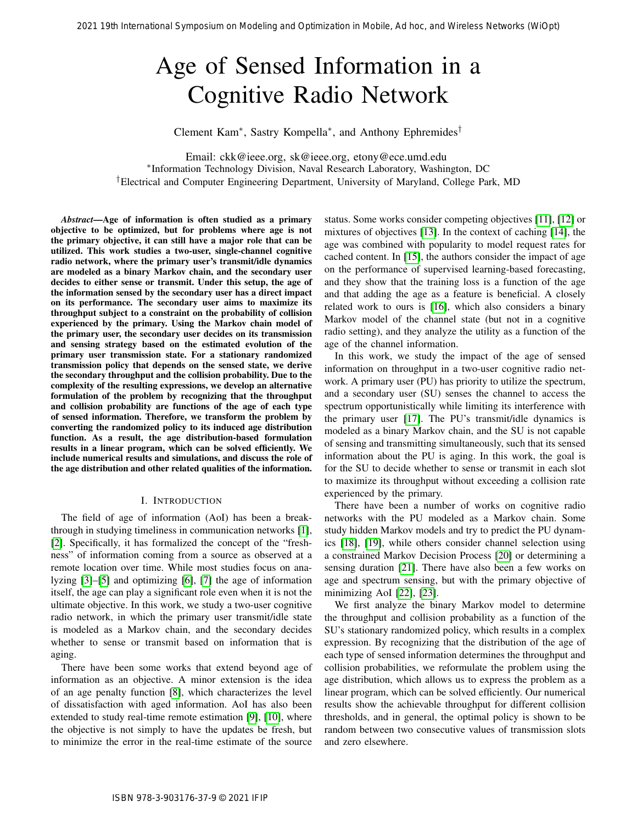# Age of Sensed Information in a Cognitive Radio Network

Clement Kam<sup>∗</sup> , Sastry Kompella<sup>∗</sup> , and Anthony Ephremides†

Email: ckk@ieee.org, sk@ieee.org, etony@ece.umd.edu ∗ Information Technology Division, Naval Research Laboratory, Washington, DC †Electrical and Computer Engineering Department, University of Maryland, College Park, MD

*Abstract*—Age of information is often studied as a primary objective to be optimized, but for problems where age is not the primary objective, it can still have a major role that can be utilized. This work studies a two-user, single-channel cognitive radio network, where the primary user's transmit/idle dynamics are modeled as a binary Markov chain, and the secondary user decides to either sense or transmit. Under this setup, the age of the information sensed by the secondary user has a direct impact on its performance. The secondary user aims to maximize its throughput subject to a constraint on the probability of collision experienced by the primary. Using the Markov chain model of the primary user, the secondary user decides on its transmission and sensing strategy based on the estimated evolution of the primary user transmission state. For a stationary randomized transmission policy that depends on the sensed state, we derive the secondary throughput and the collision probability. Due to the complexity of the resulting expressions, we develop an alternative formulation of the problem by recognizing that the throughput and collision probability are functions of the age of each type of sensed information. Therefore, we transform the problem by converting the randomized policy to its induced age distribution function. As a result, the age distribution-based formulation results in a linear program, which can be solved efficiently. We include numerical results and simulations, and discuss the role of the age distribution and other related qualities of the information. 2021 19th International Symposium on Modeling and Optimization in Modeling and Consensus Network Symposium on Modeling and Consensus Network Consensus Network Consensus Network Consensus Network Consensus Network Consensu

# I. INTRODUCTION

The field of age of information (AoI) has been a breakthrough in studying timeliness in communication networks [1], [\[2\]](#page-7-1). Specifically, it has formalized the concept of the "freshness" of information coming from a source as observed at a remote location over time. While most studies focus on analyzing [3]–[5] and optimizing [6], [7] the age of information itself, the age can play a significant role even when it is not the ultimate objective. In this work, we study a two-user cognitive radio network, in which the primary user transmit/idle state is modeled as a Markov chain, and the secondary decides whether to sense or transmit based on information that is aging.

There have been some works that extend beyond age of information as an objective. A minor extension is the idea of an age penalty function [8], which characterizes the level of dissatisfaction with aged information. AoI has also been extended to study real-time remote estimation [9], [10], where the objective is not simply to have the updates be fresh, but to minimize the error in the real-time estimate of the source

status. Some works consider competing objectives [11], [\[12\]](#page-7-10) or mixtures of objectives [13]. In the context of caching [\[14\]](#page-7-12), the age was combined with popularity to model request rates for cached content. In [15], the authors consider the impact of age on the performance of supervised learning-based forecasting, and they show that the training loss is a function of the age and that adding the age as a feature is beneficial. A closely related work to ours is [16], which also considers a binary Markov model of the channel state (but not in a cognitive radio setting), and they analyze the utility as a function of the age of the channel information.

In this work, we study the impact of the age of sensed information on throughput in a two-user cognitive radio network. A primary user (PU) has priority to utilize the spectrum, and a secondary user (SU) senses the channel to access the spectrum opportunistically while limiting its interference with the primary user [17]. The PU's transmit/idle dynamics is modeled as a binary Markov chain, and the SU is not capable of sensing and transmitting simultaneously, such that its sensed information about the PU is aging. In this work, the goal is for the SU to decide whether to sense or transmit in each slot to maximize its throughput without exceeding a collision rate experienced by the primary.

There have been a number of works on cognitive radio networks with the PU modeled as a Markov chain. Some study hidden Markov models and try to predict the PU dynamics [18], [19], while others consider channel selection using a constrained Markov Decision Process [20] or determining a sensing duration [21]. There have also been a few works on age and spectrum sensing, but with the primary objective of minimizing AoI [22], [23].

We first analyze the binary Markov model to determine the throughput and collision probability as a function of the SU's stationary randomized policy, which results in a complex expression. By recognizing that the distribution of the age of each type of sensed information determines the throughput and collision probabilities, we reformulate the problem using the age distribution, which allows us to express the problem as a linear program, which can be solved efficiently. Our numerical results show the achievable throughput for different collision thresholds, and in general, the optimal policy is shown to be random between two consecutive values of transmission slots and zero elsewhere.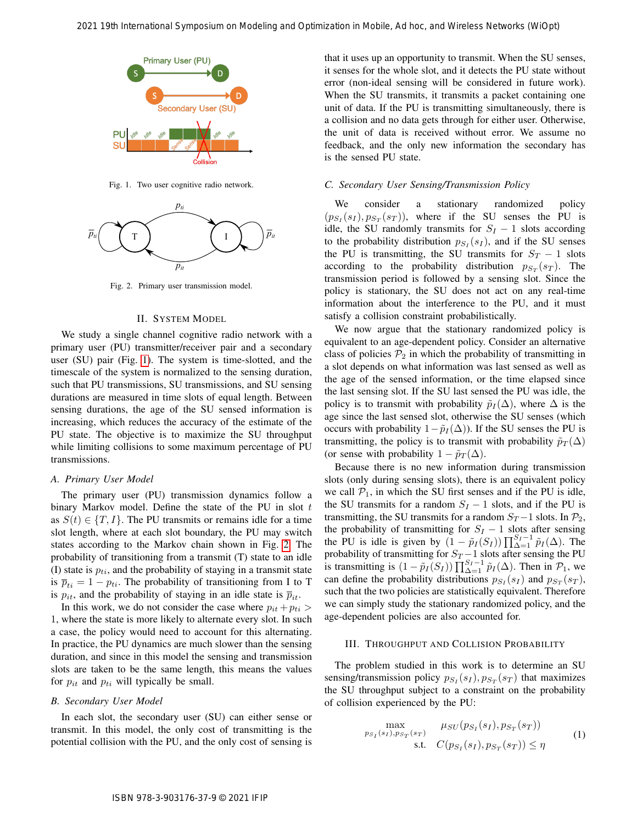

<span id="page-1-0"></span>Fig. 1. Two user cognitive radio network.



<span id="page-1-1"></span>Fig. 2. Primary user transmission model.

# II. SYSTEM MODEL

We study a single channel cognitive radio network with a primary user (PU) transmitter/receiver pair and a secondary user (SU) pair (Fig. 1). The system is time-slotted, and the timescale of the system is normalized to the sensing duration, such that PU transmissions, SU transmissions, and SU sensing durations are measured in time slots of equal length. Between sensing durations, the age of the SU sensed information is increasing, which reduces the accuracy of the estimate of the PU state. The objective is to maximize the SU throughput while limiting collisions to some maximum percentage of PU transmissions.

# *A. Primary User Model*

The primary user (PU) transmission dynamics follow a binary Markov model. Define the state of the PU in slot  $t$ as  $S(t) \in \{T, I\}$ . The PU transmits or remains idle for a time slot length, where at each slot boundary, the PU may switch states according to the Markov chain shown in Fig. 2. The probability of transitioning from a transmit (T) state to an idle (I) state is  $p_{ti}$ , and the probability of staying in a transmit state is  $\overline{p}_{ti} = 1 - p_{ti}$ . The probability of transitioning from I to T is  $p_{it}$ , and the probability of staying in an idle state is  $\overline{p}_{it}$ .

In this work, we do not consider the case where  $p_{it} + p_{ti} >$ 1, where the state is more likely to alternate every slot. In such a case, the policy would need to account for this alternating. In practice, the PU dynamics are much slower than the sensing duration, and since in this model the sensing and transmission slots are taken to be the same length, this means the values for  $p_{it}$  and  $p_{ti}$  will typically be small.

## *B. Secondary User Model*

In each slot, the secondary user (SU) can either sense or transmit. In this model, the only cost of transmitting is the potential collision with the PU, and the only cost of sensing is that it uses up an opportunity to transmit. When the SU senses, it senses for the whole slot, and it detects the PU state without error (non-ideal sensing will be considered in future work). When the SU transmits, it transmits a packet containing one unit of data. If the PU is transmitting simultaneously, there is a collision and no data gets through for either user. Otherwise, the unit of data is received without error. We assume no feedback, and the only new information the secondary has is the sensed PU state.

# *C. Secondary User Sensing/Transmission Policy*

We consider a stationary randomized policy  $(p_{S_I}(s_I), p_{S_T}(s_T))$ , where if the SU senses the PU is idle, the SU randomly transmits for  $S_I - 1$  slots according to the probability distribution  $p_{S_I}(s_I)$ , and if the SU senses the PU is transmitting, the SU transmits for  $S_T - 1$  slots according to the probability distribution  $p_{S_T}(s_T)$ . The transmission period is followed by a sensing slot. Since the policy is stationary, the SU does not act on any real-time information about the interference to the PU, and it must satisfy a collision constraint probabilistically.

We now argue that the stationary randomized policy is equivalent to an age-dependent policy. Consider an alternative class of policies  $P_2$  in which the probability of transmitting in a slot depends on what information was last sensed as well as the age of the sensed information, or the time elapsed since the last sensing slot. If the SU last sensed the PU was idle, the policy is to transmit with probability  $\tilde{p}_I(\Delta)$ , where  $\Delta$  is the age since the last sensed slot, otherwise the SU senses (which occurs with probability  $1-p_I(\Delta)$ ). If the SU senses the PU is transmitting, the policy is to transmit with probability  $\tilde{p}_T(\Delta)$ (or sense with probability  $1 - \tilde{p}_T(\Delta)$ .

Because there is no new information during transmission slots (only during sensing slots), there is an equivalent policy we call  $P_1$ , in which the SU first senses and if the PU is idle, the SU transmits for a random  $S_I - 1$  slots, and if the PU is transmitting, the SU transmits for a random  $S_T - 1$  slots. In  $\mathcal{P}_2$ , the probability of transmitting for  $S_I - 1$  slots after sensing the PU is idle is given by  $(1 - \tilde{p}_I(S_I)) \prod_{\Delta=1}^{S_I-1} \tilde{p}_I(\Delta)$ . The probability of transmitting for  $S_T - 1$  slots after sensing the PU is transmitting is  $(1 - \tilde{p}_I(S_I)) \prod_{\Delta=1}^{S_I-1} \tilde{p}_I(\Delta)$ . Then in  $\mathcal{P}_1$ , we can define the probability distributions  $p_{S_I}(s_I)$  and  $p_{S_T}(s_T)$ , such that the two policies are statistically equivalent. Therefore we can simply study the stationary randomized policy, and the age-dependent policies are also accounted for. 2021 19th International Symposium on Modeling and Definitional Symposium on Modeling and The Hockey Symposium of Wireless Networks Networks Networks Networks Networks Networks Networks Networks Networks Networks Networks

# III. THROUGHPUT AND COLLISION PROBABILITY

The problem studied in this work is to determine an SU sensing/transmission policy  $p_{S_I}(s_I), p_{S_T}(s_T)$  that maximizes the SU throughput subject to a constraint on the probability of collision experienced by the PU:

$$
\max_{p_{S_T}(s_T), p_{S_T}(s_T)} \mu_{SU}(p_{S_T}(s_T), p_{S_T}(s_T))
$$
\n
$$
\text{s.t.} \quad C(p_{S_T}(s_T), p_{S_T}(s_T)) \le \eta \tag{1}
$$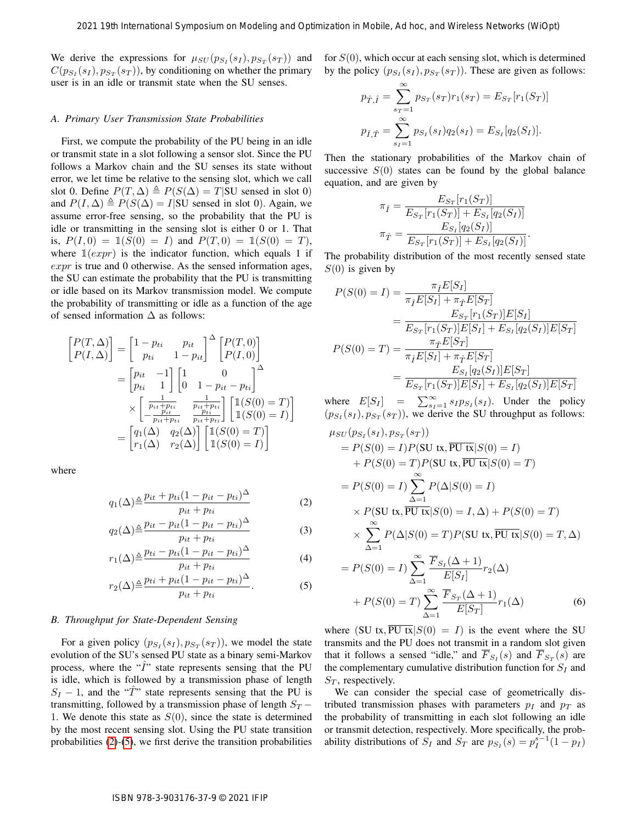We derive the expressions for  $\mu_{SU}(p_{S_I}(s_I), p_{S_T}(s_T))$  and  $C(p_{S_I}(s_I), p_{S_T}(s_T))$ , by conditioning on whether the primary user is in an idle or transmit state when the SU senses.

# <span id="page-2-3"></span>*A. Primary User Transmission State Probabilities*

First, we compute the probability of the PU being in an idle or transmit state in a slot following a sensor slot. Since the PU follows a Markov chain and the SU senses its state without error, we let time be relative to the sensing slot, which we call slot 0. Define  $P(T, \Delta) \triangleq P(S(\Delta) = T)$ SU sensed in slot 0) and  $P(I, \Delta) \triangleq P(S(\Delta) = I | SU$  sensed in slot 0). Again, we assume error-free sensing, so the probability that the PU is idle or transmitting in the sensing slot is either 0 or 1. That is,  $P(I, 0) = 1(S(0) = I)$  and  $P(T, 0) = 1(S(0) = T)$ , where  $\mathbb{1}(expr)$  is the indicator function, which equals 1 if  $expr$  is true and 0 otherwise. As the sensed information ages, the SU can estimate the probability that the PU is transmitting or idle based on its Markov transmission model. We compute the probability of transmitting or idle as a function of the age of sensed information  $\Delta$  as follows:

$$
\begin{aligned}\n\begin{bmatrix}\nP(T,\Delta) \\
P(I,\Delta)\n\end{bmatrix} &= \begin{bmatrix}\n1-p_{ti} & p_{it} \\
p_{ti} & 1-p_{it}\n\end{bmatrix}^{\Delta} \begin{bmatrix}\nP(T,0) \\
P(I,0)\n\end{bmatrix} \\
&= \begin{bmatrix}\np_{it} & -1 \\
p_{ti} & 1\n\end{bmatrix} \begin{bmatrix}\n1 & 0 & 0 \\
0 & 1-p_{it} - p_{ti}\n\end{bmatrix}^{\Delta} \\
&\times \begin{bmatrix}\n\frac{1}{p_{it}+p_{ti}} & \frac{1}{p_{it}+p_{ti}} \\
-p_{it} & p_{ti} + p_{ti}\n\end{bmatrix} \begin{bmatrix}\n\mathbb{1}(S(0) = T) \\
\mathbb{1}(S(0) = I)\n\end{bmatrix} \\
&= \begin{bmatrix}\nq_1(\Delta) & q_2(\Delta) \\
r_1(\Delta) & r_2(\Delta)\n\end{bmatrix} \begin{bmatrix}\n\mathbb{1}(S(0) = T) \\
\mathbb{1}(S(0) = I)\n\end{bmatrix}\n\end{aligned}
$$

where

$$
q_1(\Delta) \triangleq \frac{p_{it} + p_{ti}(1 - p_{it} - p_{ti})^{\Delta}}{p_{it} + p_{ti}} \tag{2}
$$

$$
q_2(\Delta) \triangleq \frac{p_{it} - p_{it}(1 - p_{it} - p_{ti})^{\Delta}}{p_{it} + p_{ti}} \tag{3}
$$

$$
r_1(\Delta) \triangleq \frac{p_{ti} - p_{ti}(1 - p_{it} - p_{ti})^{\Delta}}{p_{it} + p_{ti}} \tag{4}
$$

$$
r_2(\Delta) \triangleq \frac{p_{ti} + p_{it}(1 - p_{it} - p_{ti})^{\Delta}}{p_{it} + p_{ti}}.
$$
 (5)

#### *B. Throughput for State-Dependent Sensing*

For a given policy  $(p_{S_I}(s_I), p_{S_T}(s_T))$ , we model the state evolution of the SU's sensed PU state as a binary semi-Markov process, where the " $\hat{I}$ " state represents sensing that the PU is idle, which is followed by a transmission phase of length  $S_I - 1$ , and the " $\hat{T}$ " state represents sensing that the PU is transmitting, followed by a transmission phase of length  $S_T$  − 1. We denote this state as  $S(0)$ , since the state is determined by the most recent sensing slot. Using the PU state transition probabilities (2)-(5), we first derive the transition probabilities for  $S(0)$ , which occur at each sensing slot, which is determined by the policy  $(p_{S_I}(s_I), p_{S_T}(s_T))$ . These are given as follows:

$$
p_{\hat{T},\hat{I}} = \sum_{s_T=1}^{\infty} p_{S_T}(s_T)r_1(s_T) = E_{S_T}[r_1(S_T)]
$$
  

$$
p_{\hat{I},\hat{T}} = \sum_{s_I=1}^{\infty} p_{S_I}(s_I)q_2(s_I) = E_{S_I}[q_2(S_I)].
$$

Then the stationary probabilities of the Markov chain of successive  $S(0)$  states can be found by the global balance equation, and are given by

$$
\pi_{\hat{I}} = \frac{E_{S_T}[r_1(S_T)]}{E_{S_T}[r_1(S_T)] + E_{S_I}[q_2(S_I)]}
$$

$$
\pi_{\hat{T}} = \frac{E_{S_I}[q_2(S_I)]}{E_{S_T}[r_1(S_T)] + E_{S_I}[q_2(S_I)]}.
$$

The probability distribution of the most recently sensed state  $S(0)$  is given by

$$
P(S(0) = I) = \frac{\pi_f E[S_I]}{\pi_f E[S_I] + \pi_{\hat{T}} E[S_T]}
$$
  
= 
$$
\frac{E_{S_T}[r_1(S_T)]E[S_I]}{E_{S_T}[r_1(S_T)]E[S_I] + E_{S_I}[q_2(S_I)]E[S_T]}
$$
  

$$
P(S(0) = T) = \frac{\pi_{\hat{T}} E[S_T]}{\pi_{\hat{T}} E[S_I] + \pi_{\hat{T}} E[S_T]}
$$
  
= 
$$
\frac{E_{S_I}[q_2(S_I)]E[S_T]}{E_{S_T}[r_1(S_T)]E[S_I] + E_{S_I}[q_2(S_I)]E[S_T]}
$$

where  $E[S_I] = \sum_{s_I=1}^{\infty} s_I p_{S_I}(s_I)$ . Under the policy  $(p_{S_I}(s_I), p_{S_T}(s_T))$ , we derive the SU throughput as follows:  $\mu_{SU}(p_{S_I}(s_I),p_{S_T}(s_T))$  $= P(S(0) = I)P(SU \text{ tx}, \overline{PU \text{ tx}} | S(0) = I)$  $+ P(S(0) = T)P(SU \text{ tx}, \overline{PU \text{ tx}} | S(0) = T)$  $= P(S(0) = I) \sum_{i=1}^{\infty}$  $\Delta = 1$  $P(\Delta|S(0)=I)$  $\times$  P(SU tx,  $\overline{PU}$  tx $|S(0) = I, \Delta) + P(S(0) = T)$  $\times \sum_{n=1}^{\infty}$  $\Delta = 1$  $P(\Delta|S(0) = T)P(SU \text{ tx}, \overline{PU \text{ tx}} | S(0) = T, \Delta)$  $= P(S(0) = I) \sum_{i=1}^{\infty}$  $\Delta = 1$  $F_{S_I}(\Delta+1)$  $\frac{F(S_I)}{E[S_I]}$  $r_2(\Delta)$ 2021 19th International Symposium on Modeling and Berniculation in Mobile, Advised, The Modeling and The Modeling and The Modeling and The Modeling and The Modeling and The Modeling and The Modeling and The Modeling and T

<span id="page-2-2"></span><span id="page-2-1"></span><span id="page-2-0"></span>
$$
+ P(S(0) = T) \sum_{\Delta=1}^{\Delta-1} \frac{\overline{F}_{S_T}(\Delta+1)}{E[S_T]} r_1(\Delta)
$$
(6)

where (SU tx,  $\overline{PU}$  tx $|S(0) = I|$ ) is the event where the SU transmits and the PU does not transmit in a random slot given that it follows a sensed "idle," and  $F_{S_I}(s)$  and  $F_{S_T}(s)$  are the complementary cumulative distribution function for  $S_I$  and  $S_T$ , respectively.

We can consider the special case of geometrically distributed transmission phases with parameters  $p_I$  and  $p_T$  as the probability of transmitting in each slot following an idle or transmit detection, respectively. More specifically, the probability distributions of  $S_I$  and  $S_T$  are  $p_{S_I}(s) = p_I^{s-1}(1 - p_I)$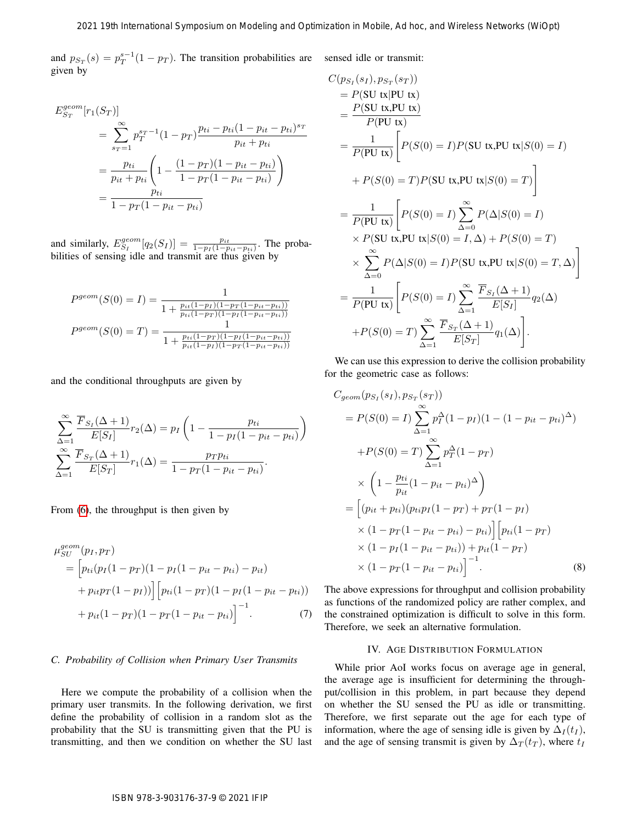and  $p_{S_T}(s) = p_T^{s-1}(1 - p_T)$ . The transition probabilities are sensed idle or transmit: given by

$$
E_{S_T}^{geom}[r_1(S_T)]
$$
  
= 
$$
\sum_{s_T=1}^{\infty} p_T^{s_T-1} (1 - p_T) \frac{p_{ti} - p_{ti} (1 - p_{it} - p_{ti})^{s_T}}{p_{it} + p_{ti}}
$$
  
= 
$$
\frac{p_{ti}}{p_{it} + p_{ti}} \left( 1 - \frac{(1 - p_T)(1 - p_{it} - p_{ti})}{1 - p_T(1 - p_{it} - p_{ti})} \right)
$$
  
= 
$$
\frac{p_{ti}}{1 - p_T(1 - p_{it} - p_{ti})}
$$

and similarly,  $E_{S_I}^{geom}[q_2(S_I)] = \frac{p_{it}}{1 - p_I(1 - p_{it} - p_{ti})}$ . The probabilities of sensing idle and transmit are thus given by

$$
P^{geom}(S(0) = I) = \frac{1}{1 + \frac{p_{it}(1 - p_I)(1 - p_T(1 - p_{it} - p_{ti}))}{p_{ti}(1 - p_T)(1 - p_I(1 - p_{it} - p_{ti}))}}
$$

$$
P^{geom}(S(0) = T) = \frac{1}{1 + \frac{p_{ti}(1 - p_T)(1 - p_I(1 - p_{it} - p_{ti}))}{p_{ti}(1 - p_I)(1 - p_T(1 - p_{it} - p_{ti}))}}
$$

and the conditional throughputs are given by

$$
\sum_{\Delta=1}^{\infty} \frac{\overline{F}_{S_I}(\Delta+1)}{E[S_I]} r_2(\Delta) = p_I \left(1 - \frac{p_{ti}}{1 - p_I(1 - p_{it} - p_{ti})}\right)
$$

$$
\sum_{\Delta=1}^{\infty} \frac{\overline{F}_{S_T}(\Delta+1)}{E[S_T]} r_1(\Delta) = \frac{p_T p_{ti}}{1 - p_T(1 - p_{it} - p_{ti})}.
$$

From (6), the throughput is then given by

$$
\mu_{SU}^{geom}(p_I, p_T)
$$
\n
$$
= \left[ p_{ti}(p_I(1 - p_T)(1 - p_I(1 - p_{it} - p_{ti}) - p_{it}) + p_{it}p_T(1 - p_I) \right] \left[ p_{ti}(1 - p_T)(1 - p_I(1 - p_{it} - p_{ti})) + p_{it}(1 - p_T)(1 - p_T(1 - p_{it} - p_{ti})) \right]^{-1}.
$$
\n(7)

# *C. Probability of Collision when Primary User Transmits*

Here we compute the probability of a collision when the primary user transmits. In the following derivation, we first define the probability of collision in a random slot as the probability that the SU is transmitting given that the PU is transmitting, and then we condition on whether the SU last

2021 19th International Symposium on Modciling and Optimization in Mobile, Ad hoc, and Wireless Networks (WOpt)  
\n
$$
s_x(s) = p_T^{p-1}(1-p_T)
$$
. The transition probabilities are  
\nby  
\n
$$
r_{\text{ref}}(S_T)
$$
\n
$$
= \sum_{r=-1}^{\infty} p_T^{p-1}(1-p_T) \frac{p_{11}-p_{11}(1-p_{11}-p_{11})}{p_{11}+p_{11}(1-p_{11}-p_{11}-p_{11})}
$$
\n
$$
= \sum_{r=-1}^{\infty} p_T^{p-1}(1-p_T) \frac{(1-p_T)(1-p_{11}-p_{11}-p_{11})}{p_{11}+p_{11}(1-p_{11}-p_{11}-p_{11})}
$$
\n
$$
= \frac{-p_{11}}{1-p_T(1-1)} \left[ P(S(0) = I)P(SU \text{ t}, PU \text{ t}, PU \text{ s}(0) = I) \right]
$$
\n
$$
= \frac{-p_{11}}{1-p_T(1-p_{11}-p_{11})}
$$
\n
$$
= \frac{-p_{11}}{1-p_T(1-p_{11}-p_{11})}
$$
\n
$$
= \frac{-p_{11}}{1-p_T(1-p_{11}-p_{11})}
$$
\n
$$
= \frac{-p_{11}}{1-p_T(1-p_{11})}
$$
\n
$$
= \frac{-p_{11}}{1-p_T(1-p_{11})}
$$
\n
$$
= \frac{-p_{11}}{1-p_T(1-p_{11})}
$$
\n
$$
= \frac{-p_{11}}{1+p_T(1-p_{11})}
$$
\n
$$
= \frac{-p_{11}}{1+p_T(1-p_{11})}
$$
\n
$$
= \frac{-p_{11}}{1+p_T(1-p_{11})}
$$
\n
$$
= \frac{-p_{11}}{1+p_T(1-p_{11})}
$$
\n
$$
= \frac{-p_{11}}{1+p_T(1-p_{11})}
$$
\n
$$
= \frac{-p_{11}}{1+p_T(1-p_{11})}
$$
\n
$$
= \frac{-p_{11}}{1+p_T(1-p_{11})}
$$
\n
$$
= \frac{-p_{11}}{1+p_T(1-p_{11})}
$$
\n<math display="block</p>

We can use this expression to derive the collision probability for the geometric case as follows:

$$
C_{geom}(p_{S_I}(s_I), p_{S_T}(s_T))
$$
  
=  $P(S(0) = I) \sum_{\Delta=1}^{\infty} p_I^{\Delta} (1 - p_I) (1 - (1 - p_{it} - p_{ti})^{\Delta})$   
+  $P(S(0) = T) \sum_{\Delta=1}^{\infty} p_T^{\Delta} (1 - p_T)$   
 $\times \left(1 - \frac{p_{ti}}{p_{it}} (1 - p_{it} - p_{ti})^{\Delta}\right)$   
=  $\left[ (p_{it} + p_{ti}) (p_{ti} p_I (1 - p_T) + p_T (1 - p_I) \times (1 - p_T (1 - p_{it} - p_{ti})) - p_{ti}) \right] \left[ p_{ti} (1 - p_T) \times (1 - p_I (1 - p_{it} - p_{ti})) + p_{it} (1 - p_T) \times (1 - p_T (1 - p_{it} - p_{ti})) \right]^{-1}.$  (8)

<span id="page-3-0"></span>The above expressions for throughput and collision probability as functions of the randomized policy are rather complex, and the constrained optimization is difficult to solve in this form. Therefore, we seek an alternative formulation.

## <span id="page-3-1"></span>IV. AGE DISTRIBUTION FORMULATION

While prior AoI works focus on average age in general, the average age is insufficient for determining the throughput/collision in this problem, in part because they depend on whether the SU sensed the PU as idle or transmitting. Therefore, we first separate out the age for each type of information, where the age of sensing idle is given by  $\Delta_I(t_I)$ , and the age of sensing transmit is given by  $\Delta_T(t_T)$ , where  $t_I$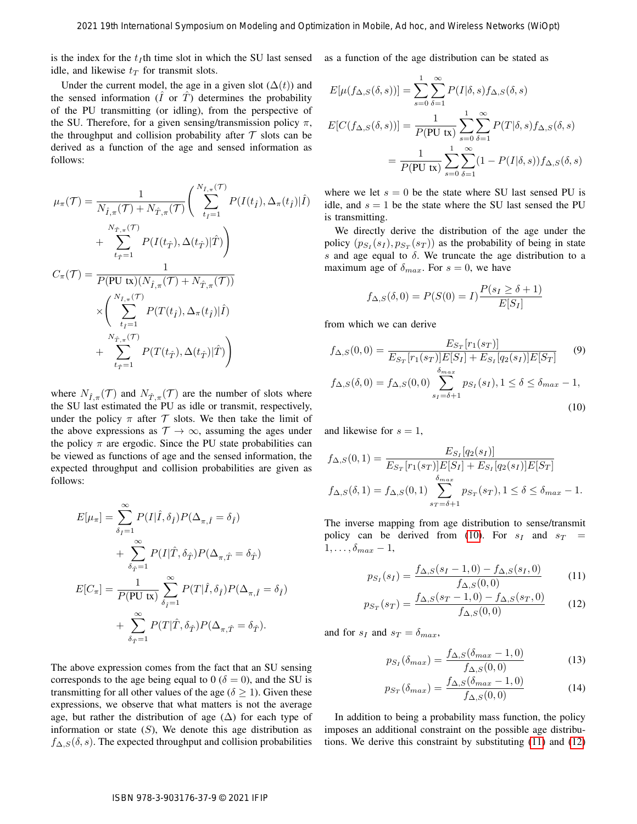is the index for the  $t_I$ th time slot in which the SU last sensed idle, and likewise  $t_T$  for transmit slots.

Under the current model, the age in a given slot  $(\Delta(t))$  and the sensed information  $(\overline{I}$  or  $\overline{T})$  determines the probability of the PU transmitting (or idling), from the perspective of the SU. Therefore, for a given sensing/transmission policy  $\pi$ , the throughput and collision probability after  $\mathcal T$  slots can be derived as a function of the age and sensed information as follows:

2021 19th international Symposium on Modeling and Optimization In Mobile, Ad hoc, and Wricless Networks (WOpp)  
\nis the index for the *t*,th time slot in which the SU last sensed as a function of the age distribution can be stated as  
\nUnder the current model, the age in a given slot 
$$
(\Delta(t))
$$
 and  $E[\mu(\{f_{\Delta,S}(6,s)\})] = \sum_{n=0}^{\infty} \sum_{s=1}^{\infty} P(T|\delta,s) f_{\Delta,S}(\delta,s)$   
\nIn the case of information (*t* or *t*) determine the probability *t*.  
\n $F(\text{C}(f_{\Delta,S}(6,s))) = \sum_{n=0}^{\infty} \sum_{s=1}^{\infty} P(T|\delta,s) f_{\Delta,S}(\delta,s)$   
\n $F(\text{E}(f_{\Delta,S}(6,s))) = \sum_{n=0}^{\infty} \sum_{s=1}^{\infty} P(T|\delta,s) f_{\Delta,S}(\delta,s)$   
\n $F(\text{E}(f_{\Delta,S}(6,s))) = \sum_{n=0}^{\infty} \sum_{s=1}^{\infty} P(T|\delta,s) f_{\Delta,S}(\delta,s)$   
\n $F(\text{E}(f_{\Delta,S}(6,s))) = \sum_{n=0}^{\infty} \sum_{s=1}^{\infty} P(T|\delta,s) f_{\Delta,S}(\delta,s)$   
\n $F(\text{E}(f_{\Delta,S}(6,s))) = \sum_{n=0}^{\infty} \sum_{s=1}^{\infty} P(T|\delta,s) f_{\Delta,S}(\text{E}(f_{\Delta,S}(6,s))) = \sum_{n=0}^{\infty} \sum_{s=1}^{\infty} (1 - P(\delta,s) f_{\Delta,S}(\text{E}(f_{\Delta,S}(6,s))) = \sum_{n=0}^{\infty} \sum_{s=1}^{\infty} P(T|\delta,s) f_{\Delta,S}(\text{E}(f_{\Delta,S}(6,s))) = \sum_{n=0}^{\infty} \sum_{s=1}^{\infty} P(T|\delta,s) f_{\Delta,S}(\text{E}(f_{\Delta,S}(6,s))) = \sum_{n=0}^{\infty} \sum_{s=1}^{\infty} P(T|\delta,s) f_{\Delta,S}(\text{E}(f_{\Delta,S}(7)) = \sum_{n=0}^{\infty} \sum_{s=1}^{\infty} P(T|\delta,s) f_{\Delta,S}(\text{E}(f_{\Delta,S}(6,s))) = \sum_{n=$ 

where  $N_{\hat{I},\pi}(\mathcal{T})$  and  $N_{\hat{T},\pi}(\mathcal{T})$  are the number of slots where the SU last estimated the PU as idle or transmit, respectively, under the policy  $\pi$  after  $\mathcal T$  slots. We then take the limit of the above expressions as  $\mathcal{T} \rightarrow \infty$ , assuming the ages under the policy  $\pi$  are ergodic. Since the PU state probabilities can be viewed as functions of age and the sensed information, the expected throughput and collision probabilities are given as follows:

$$
E[\mu_{\pi}] = \sum_{\delta_{\hat{I}}=1}^{\infty} P(I|\hat{I}, \delta_{\hat{I}}) P(\Delta_{\pi, \hat{I}} = \delta_{\hat{I}})
$$
  
+ 
$$
\sum_{\delta_{\hat{I}}=1}^{\infty} P(I|\hat{I}, \delta_{\hat{I}}) P(\Delta_{\pi, \hat{I}} = \delta_{\hat{I}})
$$
  

$$
E[C_{\pi}] = \frac{1}{P(\text{PU tx})} \sum_{\delta_{\hat{I}}=1}^{\infty} P(T|\hat{I}, \delta_{\hat{I}}) P(\Delta_{\pi, \hat{I}} = \delta_{\hat{I}})
$$
  
+ 
$$
\sum_{\delta_{\hat{I}}=1}^{\infty} P(T|\hat{I}, \delta_{\hat{I}}) P(\Delta_{\pi, \hat{I}} = \delta_{\hat{I}}).
$$

The above expression comes from the fact that an SU sensing corresponds to the age being equal to  $0 (\delta = 0)$ , and the SU is transmitting for all other values of the age ( $\delta \geq 1$ ). Given these expressions, we observe that what matters is not the average age, but rather the distribution of age  $(\Delta)$  for each type of information or state  $(S)$ , We denote this age distribution as  $f_{\Delta,S}(\delta, s)$ . The expected throughput and collision probabilities as a function of the age distribution can be stated as

$$
E[\mu(f_{\Delta,S}(\delta,s))] = \sum_{s=0}^{1} \sum_{\delta=1}^{\infty} P(I|\delta,s) f_{\Delta,S}(\delta,s)
$$

$$
E[C(f_{\Delta,S}(\delta,s))] = \frac{1}{P(PU \text{ tx})} \sum_{s=0}^{1} \sum_{\delta=1}^{\infty} P(T|\delta,s) f_{\Delta,S}(\delta,s)
$$

$$
= \frac{1}{P(PU \text{ tx})} \sum_{s=0}^{1} \sum_{\delta=1}^{\infty} (1 - P(I|\delta,s)) f_{\Delta,S}(\delta,s)
$$

where we let  $s = 0$  be the state where SU last sensed PU is idle, and  $s = 1$  be the state where the SU last sensed the PU is transmitting.

We directly derive the distribution of the age under the policy  $(p_{S_I}(s_I), p_{S_T}(s_T))$  as the probability of being in state s and age equal to  $\delta$ . We truncate the age distribution to a maximum age of  $\delta_{max}$ . For  $s = 0$ , we have

<span id="page-4-3"></span><span id="page-4-0"></span>
$$
f_{\Delta,S}(\delta,0) = P(S(0) = I) \frac{P(s_I \ge \delta + 1)}{E[S_I]}
$$

from which we can derive

$$
f_{\Delta,S}(0,0) = \frac{E_{S_T}[r_1(s_T)]}{E_{S_T}[r_1(s_T)]E[S_I] + E_{S_I}[q_2(s_I)]E[S_T]} \tag{9}
$$
  

$$
f_{\Delta,S}(\delta,0) = f_{\Delta,S}(0,0) \sum_{s_I = \delta + 1}^{\delta_{max}} p_{S_I}(s_I), 1 \le \delta \le \delta_{max} - 1,
$$
  
(10)

and likewise for  $s = 1$ ,

$$
f_{\Delta,S}(0,1) = \frac{E_{S_I}[q_2(s_I)]}{E_{S_T}[r_1(s_T)]E[S_I] + E_{S_I}[q_2(s_I)]E[S_T]}
$$
  

$$
f_{\Delta,S}(\delta,1) = f_{\Delta,S}(0,1) \sum_{s_T=\delta+1}^{\delta_{max}} p_{S_T}(s_T), 1 \le \delta \le \delta_{max} - 1.
$$

The inverse mapping from age distribution to sense/transmit policy can be derived from (10). For  $s_I$  and  $s_T$  =  $1, \ldots, \delta_{max} - 1,$ 

$$
p_{S_I}(s_I) = \frac{f_{\Delta,S}(s_I - 1,0) - f_{\Delta,S}(s_I,0)}{f_{\Delta,S}(0,0)}\tag{11}
$$

$$
p_{S_T}(s_T) = \frac{f_{\Delta,S}(s_T - 1,0) - f_{\Delta,S}(s_T,0)}{f_{\Delta,S}(0,0)}\tag{12}
$$

and for  $s_I$  and  $s_T = \delta_{max}$ ,

<span id="page-4-2"></span><span id="page-4-1"></span>
$$
p_{S_I}(\delta_{max}) = \frac{f_{\Delta,S}(\delta_{max} - 1, 0)}{f_{\Delta,S}(0,0)}
$$
(13)

<span id="page-4-4"></span>
$$
p_{S_T}(\delta_{max}) = \frac{f_{\Delta,S}(\delta_{max} - 1, 0)}{f_{\Delta,S}(0,0)}
$$
(14)

In addition to being a probability mass function, the policy imposes an additional constraint on the possible age distributions. We derive this constraint by substituting (11) and [\(12\)](#page-4-2)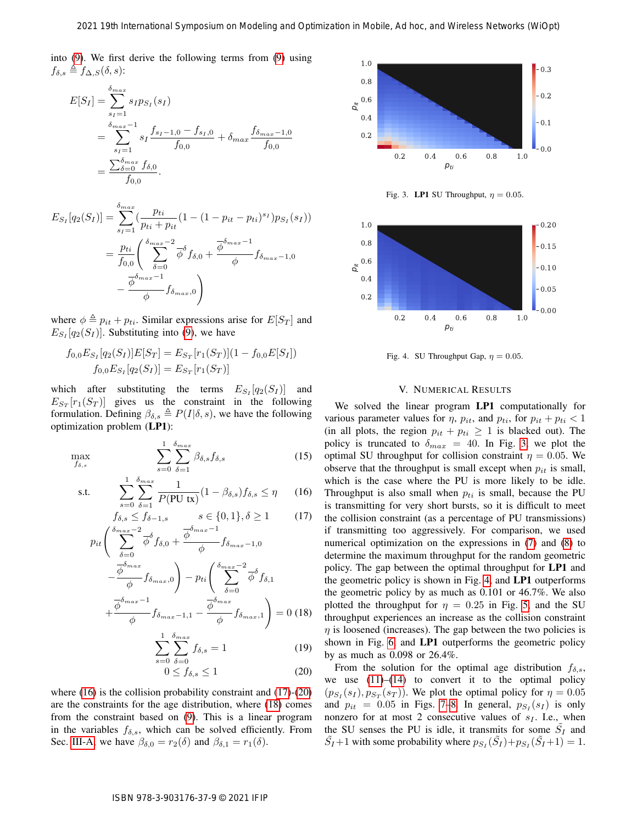<span id="page-5-1"></span><span id="page-5-0"></span> $(15)$ 

into [\(9\)](#page-4-3). We first derive the following terms from (9) using  $f_{\delta,s} \triangleq f_{\Delta,S}(\delta, s)$ :

$$
E[S_I] = \sum_{s_I=1}^{\delta_{max}} s_I p_{S_I}(s_I)
$$
  
= 
$$
\sum_{s_I=1}^{\delta_{max}-1} s_I \frac{f_{s_I-1,0} - f_{s_I,0}}{f_{0,0}} + \delta_{max} \frac{f_{\delta_{max}-1,0}}{f_{0,0}}
$$
  
= 
$$
\frac{\sum_{\delta=0}^{\delta_{max}} f_{\delta,0}}{f_{0,0}}.
$$

$$
E_{S_I}[q_2(S_I)] = \sum_{s_I=1}^{\delta_{max}} \left( \frac{p_{ti}}{p_{ti} + p_{it}} (1 - (1 - p_{it} - p_{ti})^{s_I}) p_{S_I}(s_I) \right)
$$
  
= 
$$
\frac{p_{ti}}{f_{0,0}} \left( \sum_{\delta=0}^{\delta_{max}-2} \overline{\phi}^{\delta} f_{\delta,0} + \frac{\overline{\phi}^{\delta_{max}-1}}{\phi} f_{\delta_{max}-1,0} - \frac{\overline{\phi}^{\delta_{max}-1}}{\phi} f_{\delta_{max,0}} \right)
$$

where  $\phi \triangleq p_{it} + p_{ti}$ . Similar expressions arise for  $E[S_T]$  and  $E_{S_I}[q_2(S_I)]$ . Substituting into (9), we have

$$
f_{0,0}E_{S_I}[q_2(S_I)]E[S_T] = E_{S_T}[r_1(S_T)](1 - f_{0,0}E[S_I])
$$
  

$$
f_{0,0}E_{S_I}[q_2(S_I)] = E_{S_T}[r_1(S_T)]
$$

which after substituting the terms  $E_{S_I}[q_2(S_I)]$  and  $E_{S_T}[r_1(S_T)]$  gives us the constraint in the following formulation. Defining  $\beta_{\delta,s} \triangleq P(I|\delta,s)$ , we have the following optimization problem (LP1):

$$
\max_{f_{\delta,s}} \sum_{s=0}^{1} \sum_{\delta=1}^{\delta_{max}} \beta_{\delta,s} f_{\delta,s}
$$

$$
\text{s.t.} \qquad \sum_{s=0}^{1} \sum_{\delta=1}^{\delta_{max}} \frac{1}{P(\text{PU tx})} (1 - \beta_{\delta,s}) f_{\delta,s} \le \eta \qquad (16)
$$

$$
f_{\delta,s} \le f_{\delta-1,s} \qquad s \in \{0,1\}, \delta \ge 1 \tag{17}
$$
  

$$
f_{\delta_{max}-2} \qquad \qquad \frac{\delta}{\delta_{max}-1} \qquad \frac{\delta}{\delta_{max}-1}
$$

$$
p_{it}\left(\sum_{\delta=0}^{\delta_{max}-2} \overline{\phi}^{\delta} f_{\delta,0} + \frac{\overline{\phi}^{\delta_{max}-1}}{\phi} f_{\delta_{max}-1,0}\right)
$$

$$
-\frac{\overline{\phi}^{\delta_{max}}}{\phi} f_{\delta_{max},0}\right) - p_{ti}\left(\sum_{\delta=0}^{\delta_{max}-2} \overline{\phi}^{\delta} f_{\delta,1}\right)
$$

$$
+\frac{\overline{\phi}^{\delta_{max}-1}}{\phi} f_{\delta_{max}-1,1} - \frac{\overline{\phi}^{\delta_{max}}}{\phi} f_{\delta_{max},1}\right) = 0 \quad (18)
$$

$$
\sum_{\delta=0}^{1} \sum_{\delta=0}^{\delta_{max}} f_{\delta,\delta} = 1 \quad (19)
$$

$$
\sum_{s=0} \sum_{\delta=0} f_{\delta,s} = 1 \tag{19}
$$

$$
0 \le f_{\delta,s} \le 1 \tag{20}
$$

where (16) is the collision probability constraint and (17)-(20) are the constraints for the age distribution, where (18) comes from the constraint based on (9). This is a linear program in the variables  $f_{\delta,s}$ , which can be solved efficiently. From Sec. [III-A,](#page-2-3) we have  $\beta_{\delta,0} = r_2(\delta)$  and  $\beta_{\delta,1} = r_1(\delta)$ .



<span id="page-5-4"></span>Fig. 3. LP1 SU Throughput,  $\eta = 0.05$ .



<span id="page-5-5"></span>Fig. 4. SU Throughput Gap,  $\eta = 0.05$ .

# V. NUMERICAL RESULTS

We solved the linear program LP1 computationally for various parameter values for  $\eta$ ,  $p_{it}$ , and  $p_{ti}$ , for  $p_{it} + p_{ti} < 1$ (in all plots, the region  $p_{it} + p_{ti} \geq 1$  is blacked out). The policy is truncated to  $\delta_{max} = 40$ . In Fig. 3, we plot the optimal SU throughput for collision constraint  $\eta = 0.05$ . We observe that the throughput is small except when  $p_{it}$  is small, which is the case where the PU is more likely to be idle. Throughput is also small when  $p_{ti}$  is small, because the PU is transmitting for very short bursts, so it is difficult to meet the collision constraint (as a percentage of PU transmissions) if transmitting too aggressively. For comparison, we used numerical optimization on the expressions in (7) and [\(8\)](#page-3-1) to determine the maximum throughput for the random geometric policy. The gap between the optimal throughput for LP1 and the geometric policy is shown in Fig. 4, and LP1 outperforms the geometric policy by as much as 0.101 or 46.7%. We also plotted the throughput for  $\eta = 0.25$  in Fig. 5, and the SU throughput experiences an increase as the collision constraint  $\eta$  is loosened (increases). The gap between the two policies is shown in Fig. 6, and LP1 outperforms the geometric policy by as much as 0.098 or 26.4%. 2021 19th International Symposium or Modelling and Optimization in Modeling and Optimization in Modelling and Optimization in Contact (WiOptimization in Additional Symposium of Advisor 10.1 Contact (WiOptimization in Addi

<span id="page-5-3"></span><span id="page-5-2"></span>From the solution for the optimal age distribution  $f_{\delta,s}$ , we use  $(11)$ – $(14)$  to convert it to the optimal policy  $(p_{S_I}(s_I), p_{S_T}(s_T))$ . We plot the optimal policy for  $\eta = 0.05$ and  $p_{it} = 0.05$  in Figs. 7–8. In general,  $p_{S_I}(s_I)$  is only nonzero for at most 2 consecutive values of  $s_I$ . I.e., when the SU senses the PU is idle, it transmits for some  $\tilde{S}_I$  and  $\tilde{S}_I + 1$  with some probability where  $p_{S_I}(\tilde{S}_I) + p_{S_I}(\tilde{S}_I + 1) = 1$ .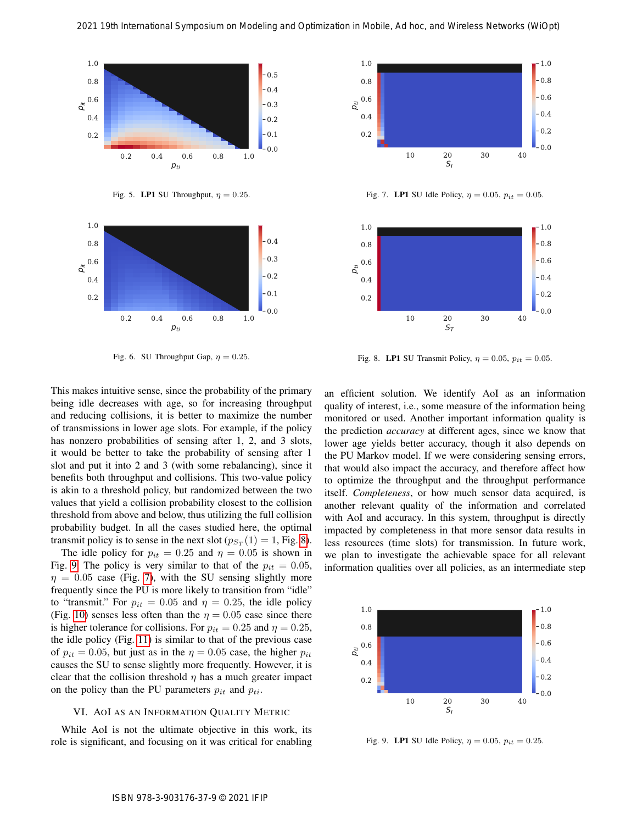

<span id="page-6-0"></span>Fig. 5. LP1 SU Throughput,  $\eta = 0.25$ .



<span id="page-6-1"></span>Fig. 6. SU Throughput Gap,  $\eta = 0.25$ .

This makes intuitive sense, since the probability of the primary being idle decreases with age, so for increasing throughput and reducing collisions, it is better to maximize the number of transmissions in lower age slots. For example, if the policy has nonzero probabilities of sensing after 1, 2, and 3 slots, it would be better to take the probability of sensing after 1 slot and put it into 2 and 3 (with some rebalancing), since it benefits both throughput and collisions. This two-value policy is akin to a threshold policy, but randomized between the two values that yield a collision probability closest to the collision threshold from above and below, thus utilizing the full collision probability budget. In all the cases studied here, the optimal transmit policy is to sense in the next slot ( $p_{S_T}(1) = 1$ , Fig. 8).

The idle policy for  $p_{it} = 0.25$  and  $\eta = 0.05$  is shown in Fig. [9.](#page-6-4) The policy is very similar to that of the  $p_{it} = 0.05$ ,  $\eta = 0.05$  case (Fig. 7), with the SU sensing slightly more frequently since the PU is more likely to transition from "idle" to "transmit." For  $p_{it} = 0.05$  and  $\eta = 0.25$ , the idle policy (Fig. [10\)](#page-7-22) senses less often than the  $\eta = 0.05$  case since there is higher tolerance for collisions. For  $p_{it} = 0.25$  and  $\eta = 0.25$ , the idle policy (Fig. 11) is similar to that of the previous case of  $p_{it} = 0.05$ , but just as in the  $\eta = 0.05$  case, the higher  $p_{it}$ causes the SU to sense slightly more frequently. However, it is clear that the collision threshold  $\eta$  has a much greater impact on the policy than the PU parameters  $p_{it}$  and  $p_{ti}$ .

# VI. AOI AS AN INFORMATION QUALITY METRIC

While AoI is not the ultimate objective in this work, its role is significant, and focusing on it was critical for enabling



<span id="page-6-2"></span>Fig. 7. LP1 SU Idle Policy,  $\eta = 0.05$ ,  $p_{it} = 0.05$ .



<span id="page-6-3"></span>Fig. 8. LP1 SU Transmit Policy,  $\eta = 0.05$ ,  $p_{it} = 0.05$ .

an efficient solution. We identify AoI as an information quality of interest, i.e., some measure of the information being monitored or used. Another important information quality is the prediction *accuracy* at different ages, since we know that lower age yields better accuracy, though it also depends on the PU Markov model. If we were considering sensing errors, that would also impact the accuracy, and therefore affect how to optimize the throughput and the throughput performance itself. *Completeness*, or how much sensor data acquired, is another relevant quality of the information and correlated with AoI and accuracy. In this system, throughput is directly impacted by completeness in that more sensor data results in less resources (time slots) for transmission. In future work, we plan to investigate the achievable space for all relevant information qualities over all policies, as an intermediate step 2021 19th International Symposium on Modelling and Optimization in Mobile, Ad hoc, and Mobile, Advanced Symposium on Modelling and Advanced Symposium on Mobile and Advanced Symposium of Mobile and Advanced Symposium of Mo



<span id="page-6-4"></span>Fig. 9. LP1 SU Idle Policy,  $\eta = 0.05$ ,  $p_{it} = 0.25$ .